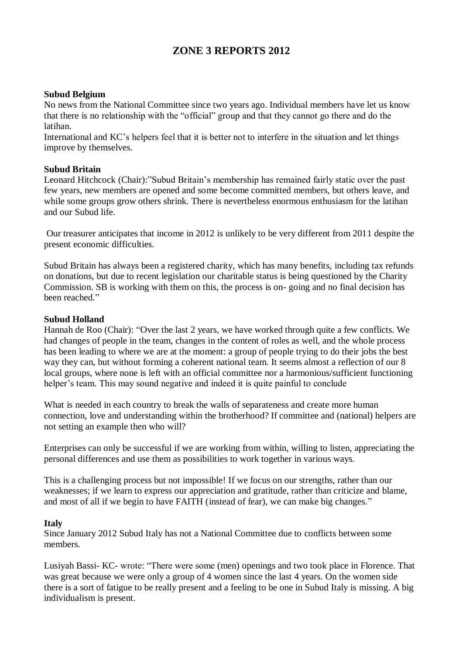# **ZONE 3 REPORTS 2012**

#### **Subud Belgium**

No news from the National Committee since two years ago. Individual members have let us know that there is no relationship with the "official" group and that they cannot go there and do the latihan.

International and KC's helpers feel that it is better not to interfere in the situation and let things improve by themselves.

#### **Subud Britain**

Leonard Hitchcock (Chair):"Subud Britain's membership has remained fairly static over the past few years, new members are opened and some become committed members, but others leave, and while some groups grow others shrink. There is nevertheless enormous enthusiasm for the latihan and our Subud life.

Our treasurer anticipates that income in 2012 is unlikely to be very different from 2011 despite the present economic difficulties.

Subud Britain has always been a registered charity, which has many benefits, including tax refunds on donations, but due to recent legislation our charitable status is being questioned by the Charity Commission. SB is working with them on this, the process is on- going and no final decision has been reached."

#### **Subud Holland**

Hannah de Roo (Chair): "Over the last 2 years, we have worked through quite a few conflicts. We had changes of people in the team, changes in the content of roles as well, and the whole process has been leading to where we are at the moment: a group of people trying to do their jobs the best way they can, but without forming a coherent national team. It seems almost a reflection of our 8 local groups, where none is left with an official committee nor a harmonious/sufficient functioning helper's team. This may sound negative and indeed it is quite painful to conclude

What is needed in each country to break the walls of separateness and create more human connection, love and understanding within the brotherhood? If committee and (national) helpers are not setting an example then who will?

Enterprises can only be successful if we are working from within, willing to listen, appreciating the personal differences and use them as possibilities to work together in various ways.

This is a challenging process but not impossible! If we focus on our strengths, rather than our weaknesses; if we learn to express our appreciation and gratitude, rather than criticize and blame, and most of all if we begin to have FAITH (instead of fear), we can make big changes."

#### **Italy**

Since January 2012 Subud Italy has not a National Committee due to conflicts between some members.

Lusiyah Bassi- KC- wrote: "There were some (men) openings and two took place in Florence. That was great because we were only a group of 4 women since the last 4 years. On the women side there is a sort of fatigue to be really present and a feeling to be one in Subud Italy is missing. A big individualism is present.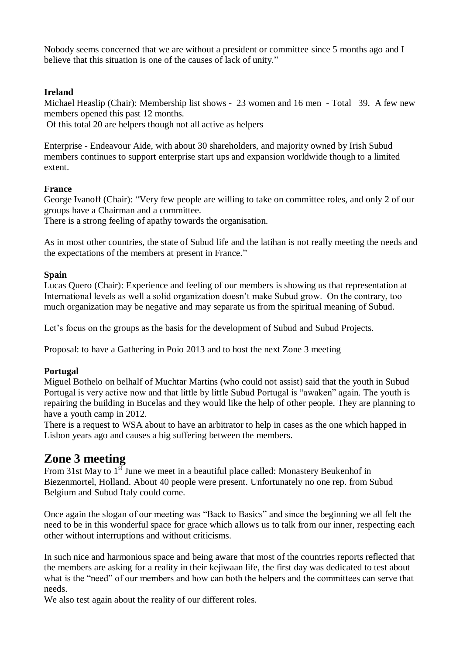Nobody seems concerned that we are without a president or committee since 5 months ago and I believe that this situation is one of the causes of lack of unity."

## **Ireland**

Michael Heaslip (Chair): Membership list shows - 23 women and 16 men - Total 39. A few new members opened this past 12 months.

Of this total 20 are helpers though not all active as helpers

Enterprise - Endeavour Aide, with about 30 shareholders, and majority owned by Irish Subud members continues to support enterprise start ups and expansion worldwide though to a limited extent.

# **France**

George Ivanoff (Chair): "Very few people are willing to take on committee roles, and only 2 of our groups have a Chairman and a committee.

There is a strong feeling of apathy towards the organisation.

As in most other countries, the state of Subud life and the latihan is not really meeting the needs and the expectations of the members at present in France."

## **Spain**

Lucas Quero (Chair): Experience and feeling of our members is showing us that representation at International levels as well a solid organization doesn't make Subud grow. On the contrary, too much organization may be negative and may separate us from the spiritual meaning of Subud.

Let's focus on the groups as the basis for the development of Subud and Subud Projects.

Proposal: to have a Gathering in Poio 2013 and to host the next Zone 3 meeting

## **Portugal**

Miguel Bothelo on belhalf of Muchtar Martins (who could not assist) said that the youth in Subud Portugal is very active now and that little by little Subud Portugal is "awaken" again. The youth is repairing the building in Bucelas and they would like the help of other people. They are planning to have a youth camp in 2012.

There is a request to WSA about to have an arbitrator to help in cases as the one which happed in Lisbon years ago and causes a big suffering between the members.

# **Zone 3 meeting**

From 31st May to  $1<sup>st</sup>$  June we meet in a beautiful place called: Monastery Beukenhof in Biezenmortel, Holland. About 40 people were present. Unfortunately no one rep. from Subud Belgium and Subud Italy could come.

Once again the slogan of our meeting was "Back to Basics" and since the beginning we all felt the need to be in this wonderful space for grace which allows us to talk from our inner, respecting each other without interruptions and without criticisms.

In such nice and harmonious space and being aware that most of the countries reports reflected that the members are asking for a reality in their kejiwaan life, the first day was dedicated to test about what is the "need" of our members and how can both the helpers and the committees can serve that needs.

We also test again about the reality of our different roles.